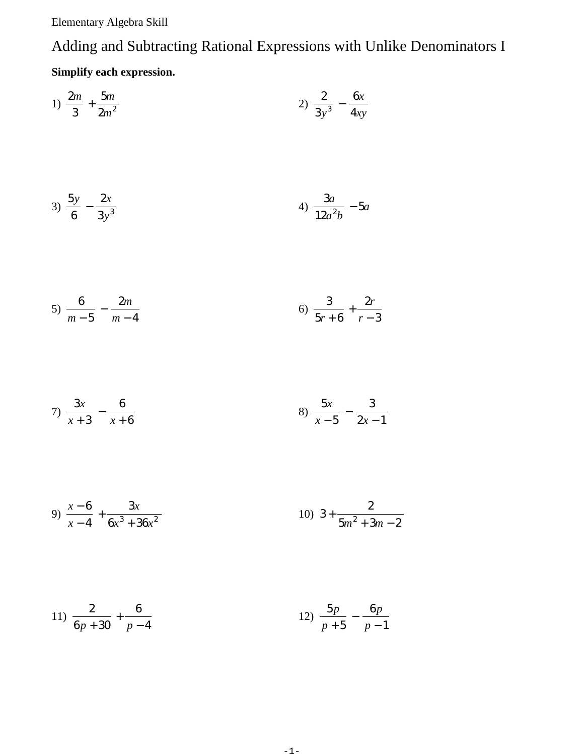Elementary Algebra Skill

## Adding and Subtracting Rational Expressions with Unlike Denominators I **Simplify each expression.**

1) 
$$
\frac{2m}{3} + \frac{5m}{2m^2}
$$
  
\n2)  $\frac{2}{3y^3} - \frac{6x}{4xy}$   
\n3)  $\frac{5y}{6} - \frac{2x}{3y^3}$   
\n4)  $\frac{3a}{12a^2b} - 5a$   
\n5)  $\frac{6}{m-5} - \frac{2m}{m-4}$   
\n6)  $\frac{3}{5r+6} + \frac{2r}{r-3}$   
\n7)  $\frac{3x}{x+3} - \frac{6}{x+6}$   
\n8)  $\frac{5x}{x-5} - \frac{3}{2x-1}$ 

9) 
$$
\frac{x-6}{x-4} + \frac{3x}{6x^3 + 36x^2}
$$
 10) 
$$
3 + \frac{2}{5m^2 + 3m - 2}
$$

11) 
$$
\frac{2}{6p+30} + \frac{6}{p-4}
$$
 12)  $\frac{5p}{p+5} - \frac{6p}{p-1}$